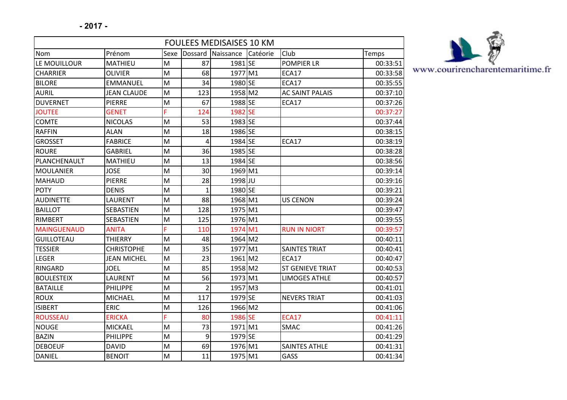| <b>FOULEES MEDISAISES 10 KM</b> |                    |      |                |           |          |                         |          |
|---------------------------------|--------------------|------|----------------|-----------|----------|-------------------------|----------|
| Nom                             | Prénom             | Sexe | Dossard        | Naissance | Catéorie | Club                    | Temps    |
| LE MOUILLOUR                    | MATHIEU            | M    | 87             | 1981 SE   |          | <b>POMPIER LR</b>       | 00:33:51 |
| <b>CHARRIER</b>                 | <b>OLIVIER</b>     | M    | 68             | 1977 M1   |          | ECA17                   | 00:33:58 |
| <b>BILORE</b>                   | <b>EMMANUEL</b>    | M    | 34             | 1980 SE   |          | ECA17                   | 00:35:55 |
| <b>AURIL</b>                    | <b>JEAN CLAUDE</b> | M    | 123            | 1958 M2   |          | <b>AC SAINT PALAIS</b>  | 00:37:10 |
| <b>DUVERNET</b>                 | <b>PIERRE</b>      | M    | 67             | 1988 SE   |          | ECA17                   | 00:37:26 |
| <b>JOUTEE</b>                   | <b>GENET</b>       | Ë    | 124            | 1982 SE   |          |                         | 00:37:27 |
| <b>COMTE</b>                    | <b>NICOLAS</b>     | M    | 53             | 1983 SE   |          |                         | 00:37:44 |
| <b>RAFFIN</b>                   | <b>ALAN</b>        | M    | 18             | 1986 SE   |          |                         | 00:38:15 |
| <b>GROSSET</b>                  | <b>FABRICE</b>     | M    | $\overline{4}$ | 1984 SE   |          | ECA17                   | 00:38:19 |
| <b>ROURE</b>                    | <b>GABRIEL</b>     | M    | 36             | 1985 SE   |          |                         | 00:38:28 |
| PLANCHENAULT                    | <b>MATHIEU</b>     | M    | 13             | 1984 SE   |          |                         | 00:38:56 |
| <b>MOULANIER</b>                | <b>JOSE</b>        | M    | 30             | 1969 M1   |          |                         | 00:39:14 |
| <b>MAHAUD</b>                   | <b>PIERRE</b>      | M    | 28             | 1998 JU   |          |                         | 00:39:16 |
| <b>POTY</b>                     | <b>DENIS</b>       | M    | $\mathbf{1}$   | 1980 SE   |          |                         | 00:39:21 |
| <b>AUDINETTE</b>                | LAURENT            | M    | 88             | 1968 M1   |          | <b>US CENON</b>         | 00:39:24 |
| <b>BAILLOT</b>                  | <b>SEBASTIEN</b>   | M    | 128            | 1975 M1   |          |                         | 00:39:47 |
| RIMBERT                         | <b>SEBASTIEN</b>   | M    | 125            | 1976 M1   |          |                         | 00:39:55 |
| <b>MAINGUENAUD</b>              | <b>ANITA</b>       | Ë    | 110            | 1974 M1   |          | <b>RUN IN NIORT</b>     | 00:39:57 |
| <b>GUILLOTEAU</b>               | <b>THIERRY</b>     | M    | 48             | 1964 M2   |          |                         | 00:40:11 |
| <b>TESSIER</b>                  | <b>CHRISTOPHE</b>  | M    | 35             | 1977 M1   |          | <b>SAINTES TRIAT</b>    | 00:40:41 |
| LEGER                           | <b>JEAN MICHEL</b> | M    | 23             | 1961 M2   |          | ECA17                   | 00:40:47 |
| <b>RINGARD</b>                  | <b>JOEL</b>        | M    | 85             | 1958 M2   |          | <b>ST GENIEVE TRIAT</b> | 00:40:53 |
| <b>BOULESTEIX</b>               | LAURENT            | M    | 56             | 1973 M1   |          | <b>LIMOGES ATHLE</b>    | 00:40:57 |
| <b>BATAILLE</b>                 | <b>PHILIPPE</b>    | M    | $\overline{2}$ | 1957 M3   |          |                         | 00:41:01 |
| <b>ROUX</b>                     | <b>MICHAEL</b>     | M    | 117            | 1979 SE   |          | <b>NEVERS TRIAT</b>     | 00:41:03 |
| <b>ISIBERT</b>                  | ERIC               | M    | 126            | 1966 M2   |          |                         | 00:41:06 |
| <b>ROUSSEAU</b>                 | <b>ERICKA</b>      | Ë    | 80             | 1986 SE   |          | <b>ECA17</b>            | 00:41:11 |
| <b>NOUGE</b>                    | <b>MICKAEL</b>     | M    | 73             | 1971 M1   |          | <b>SMAC</b>             | 00:41:26 |
| <b>BAZIN</b>                    | PHILIPPE           | M    | 9              | 1979 SE   |          |                         | 00:41:29 |
| <b>DEBOEUF</b>                  | <b>DAVID</b>       | M    | 69             | 1976 M1   |          | <b>SAINTES ATHLE</b>    | 00:41:31 |
| <b>DANIEL</b>                   | <b>BENOIT</b>      | M    | 11             | 1975 M1   |          | GASS                    | 00:41:34 |



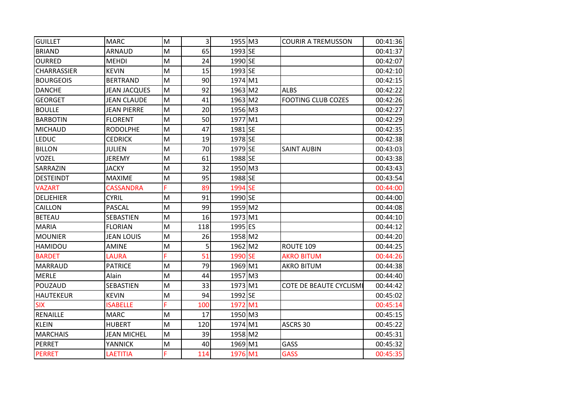| <b>GUILLET</b>   | <b>MARC</b>         | M | $\overline{3}$ | 1955 M3 | <b>COURIR A TREMUSSON</b>      | 00:41:36 |
|------------------|---------------------|---|----------------|---------|--------------------------------|----------|
| <b>BRIAND</b>    | <b>ARNAUD</b>       | M | 65             | 1993 SE |                                | 00:41:37 |
| <b>OURRED</b>    | <b>MEHDI</b>        | M | 24             | 1990 SE |                                | 00:42:07 |
| CHARRASSIER      | <b>KEVIN</b>        | M | 15             | 1993 SE |                                | 00:42:10 |
| <b>BOURGEOIS</b> | <b>BERTRAND</b>     | M | 90             | 1974 M1 |                                | 00:42:15 |
| <b>DANCHE</b>    | <b>JEAN JACQUES</b> | M | 92             | 1963 M2 | <b>ALBS</b>                    | 00:42:22 |
| <b>GEORGET</b>   | <b>JEAN CLAUDE</b>  | M | 41             | 1963 M2 | <b>FOOTING CLUB COZES</b>      | 00:42:26 |
| <b>BOULLE</b>    | <b>JEAN PIERRE</b>  | M | 20             | 1956 M3 |                                | 00:42:27 |
| <b>BARBOTIN</b>  | <b>FLORENT</b>      | M | 50             | 1977 M1 |                                | 00:42:29 |
| <b>MICHAUD</b>   | <b>RODOLPHE</b>     | M | 47             | 1981 SE |                                | 00:42:35 |
| <b>LEDUC</b>     | <b>CEDRICK</b>      | M | 19             | 1978 SE |                                | 00:42:38 |
| <b>BILLON</b>    | <b>JULIEN</b>       | M | 70             | 1979 SE | <b>SAINT AUBIN</b>             | 00:43:03 |
| <b>VOZEL</b>     | <b>JEREMY</b>       | M | 61             | 1988 SE |                                | 00:43:38 |
| SARRAZIN         | <b>JACKY</b>        | M | 32             | 1950 M3 |                                | 00:43:43 |
| <b>DESTEINDT</b> | <b>MAXIME</b>       | M | 95             | 1988 SE |                                | 00:43:54 |
| <b>VAZART</b>    | <b>CASSANDRA</b>    | Ë | 89             | 1994 SE |                                | 00:44:00 |
| <b>DELJEHIER</b> | <b>CYRIL</b>        | M | 91             | 1990 SE |                                | 00:44:00 |
| <b>CAILLON</b>   | PASCAL              | M | 99             | 1959 M2 |                                | 00:44:08 |
| <b>BETEAU</b>    | SEBASTIEN           | M | 16             | 1973 M1 |                                | 00:44:10 |
| <b>MARIA</b>     | <b>FLORIAN</b>      | M | 118            | 1995 ES |                                | 00:44:12 |
| <b>MOUNIER</b>   | <b>JEAN LOUIS</b>   | M | 26             | 1958 M2 |                                | 00:44:20 |
| HAMIDOU          | <b>AMINE</b>        | M | 5              | 1962 M2 | ROUTE 109                      | 00:44:25 |
| <b>BARDET</b>    | LAURA               | F | 51             | 1990 SE | <b>AKRO BITUM</b>              | 00:44:26 |
| <b>MARRAUD</b>   | <b>PATRICE</b>      | M | 79             | 1969 M1 | <b>AKRO BITUM</b>              | 00:44:38 |
| <b>MERLE</b>     | Alain               | M | 44             | 1957 M3 |                                | 00:44:40 |
| POUZAUD          | SEBASTIEN           | M | 33             | 1973 M1 | <b>COTE DE BEAUTE CYCLISMI</b> | 00:44:42 |
| <b>HAUTEKEUR</b> | <b>KEVIN</b>        | M | 94             | 1992 SE |                                | 00:45:02 |
| <b>SIX</b>       | <b>ISABELLE</b>     | Ë | 100            | 1972 M1 |                                | 00:45:14 |
| RENAILLE         | <b>MARC</b>         | M | 17             | 1950 M3 |                                | 00:45:15 |
| <b>KLEIN</b>     | <b>HUBERT</b>       | M | 120            | 1974 M1 | ASCRS 30                       | 00:45:22 |
| <b>MARCHAIS</b>  | <b>JEAN MICHEL</b>  | M | 39             | 1958 M2 |                                | 00:45:31 |
| <b>PERRET</b>    | YANNICK             | M | 40             | 1969 M1 | GASS                           | 00:45:32 |
| <b>PERRET</b>    | LAETITIA            | F | 114            | 1976 M1 | <b>GASS</b>                    | 00:45:35 |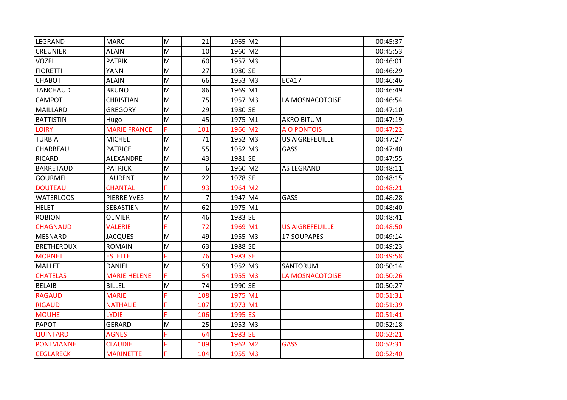| LEGRAND           | <b>MARC</b>         | M | 21             | 1965 M2 |                        | 00:45:37 |
|-------------------|---------------------|---|----------------|---------|------------------------|----------|
| <b>CREUNIER</b>   | <b>ALAIN</b>        | M | 10             | 1960 M2 |                        | 00:45:53 |
| <b>VOZEL</b>      | <b>PATRIK</b>       | M | 60             | 1957 M3 |                        | 00:46:01 |
| <b>FIORETTI</b>   | YANN                | M | 27             | 1980 SE |                        | 00:46:29 |
| <b>CHABOT</b>     | <b>ALAIN</b>        | M | 66             | 1953 M3 | <b>ECA17</b>           | 00:46:46 |
| <b>TANCHAUD</b>   | <b>BRUNO</b>        | M | 86             | 1969 M1 |                        | 00:46:49 |
| <b>CAMPOT</b>     | <b>CHRISTIAN</b>    | M | 75             | 1957 M3 | LA MOSNACOTOISE        | 00:46:54 |
| MAILLARD          | <b>GREGORY</b>      | M | 29             | 1980 SE |                        | 00:47:10 |
| <b>BATTISTIN</b>  | Hugo                | M | 45             | 1975 M1 | <b>AKRO BITUM</b>      | 00:47:19 |
| <b>LOIRY</b>      | <b>MARIE FRANCE</b> | F | 101            | 1966 M2 | <b>A O PONTOIS</b>     | 00:47:22 |
| <b>TURBIA</b>     | <b>MICHEL</b>       | M | 71             | 1952 M3 | <b>US AIGREFEUILLE</b> | 00:47:27 |
| CHARBEAU          | <b>PATRICE</b>      | M | 55             | 1952 M3 | GASS                   | 00:47:40 |
| <b>RICARD</b>     | ALEXANDRE           | M | 43             | 1981 SE |                        | 00:47:55 |
| <b>BARRETAUD</b>  | <b>PATRICK</b>      | M | 6              | 1960 M2 | <b>AS LEGRAND</b>      | 00:48:11 |
| <b>GOURMEL</b>    | LAURENT             | M | 22             | 1978 SE |                        | 00:48:15 |
| <b>DOUTEAU</b>    | <b>CHANTAL</b>      |   | 93             | 1964 M2 |                        | 00:48:21 |
| <b>WATERLOOS</b>  | PIERRE YVES         | M | $\overline{7}$ | 1947 M4 | GASS                   | 00:48:28 |
| <b>HELET</b>      | SEBASTIEN           | M | 62             | 1975 M1 |                        | 00:48:40 |
| <b>ROBION</b>     | <b>OLIVIER</b>      | M | 46             | 1983 SE |                        | 00:48:41 |
| <b>CHAGNAUD</b>   | <b>VALERIE</b>      | Ë | 72             | 1969 M1 | <b>US AIGREFEUILLE</b> | 00:48:50 |
| <b>MESNARD</b>    | <b>JACQUES</b>      | M | 49             | 1955 M3 | <b>17 SOUPAPES</b>     | 00:49:14 |
| <b>BRETHEROUX</b> | <b>ROMAIN</b>       | M | 63             | 1988 SE |                        | 00:49:23 |
| <b>MORNET</b>     | <b>ESTELLE</b>      | Ë | 76             | 1983 SE |                        | 00:49:58 |
| <b>MALLET</b>     | <b>DANIEL</b>       | M | 59             | 1952 M3 | SANTORUM               | 00:50:14 |
| <b>CHATELAS</b>   | <b>MARIE HELENE</b> | F | 54             | 1955 M3 | LA MOSNACOTOISE        | 00:50:26 |
| <b>BELAIB</b>     | <b>BILLEL</b>       | M | 74             | 1990 SE |                        | 00:50:27 |
| <b>RAGAUD</b>     | <b>MARIE</b>        | F | 108            | 1975 M1 |                        | 00:51:31 |
| <b>RIGAUD</b>     | <b>NATHALIE</b>     | Ë | 107            | 1973 M1 |                        | 00:51:39 |
| <b>MOUHE</b>      | <b>LYDIE</b>        | F | 106            | 1995 ES |                        | 00:51:41 |
| <b>PAPOT</b>      | <b>GERARD</b>       | M | 25             | 1953 M3 |                        | 00:52:18 |
| <b>QUINTARD</b>   | <b>AGNES</b>        | Ë | 64             | 1983 SE |                        | 00:52:21 |
| <b>PONTVIANNE</b> | <b>CLAUDIE</b>      | Ë | 109            | 1962 M2 | <b>GASS</b>            | 00:52:31 |
| <b>CEGLARECK</b>  | <b>MARINETTE</b>    | Ë | 104            | 1955 M3 |                        | 00:52:40 |